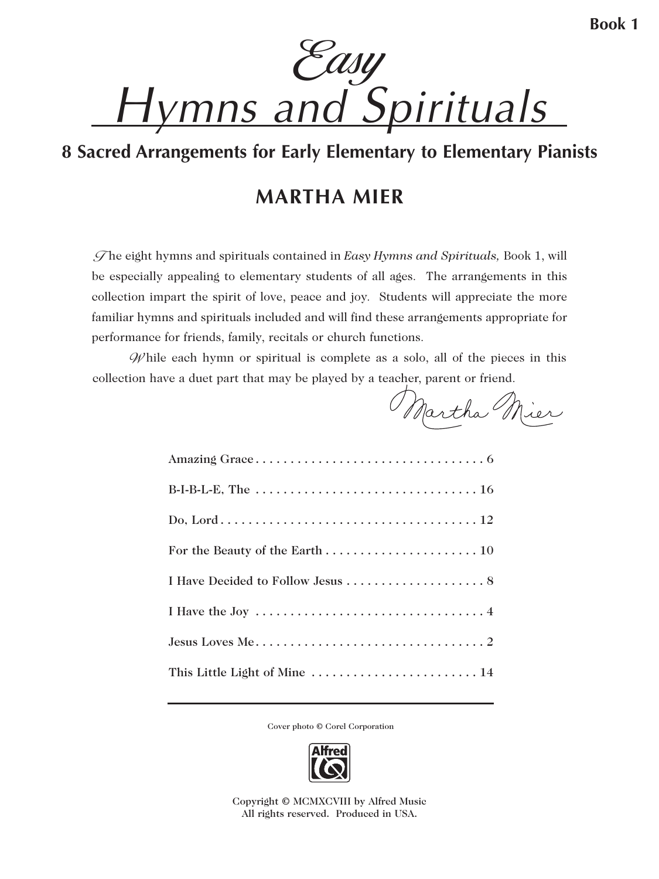Easy *Hymns and Spirituals*

## **8 Sacred Arrangements for Early Elementary to Elementary Pianists**

## **MARTHA MIER**

 T he eight hymns and spirituals contained in *Easy Hymns and Spirituals,* Book 1, will be especially appealing to elementary students of all ages. The arrangements in this collection impart the spirit of love, peace and joy. Students will appreciate the more familiar hymns and spirituals included and will find these arrangements appropriate for performance for friends, family, recitals or church functions.

 $\mathscr{W}$  hile each hymn or spiritual is complete as a solo, all of the pieces in this collection have a duet part that may be played by a teacher, parent or friend.

Martha Mier

| This Little Light of Mine  14 |
|-------------------------------|

Cover photo © Corel Corporation



Copyright © MCMXCVIII by Alfred Music All rights reserved. Produced in USA.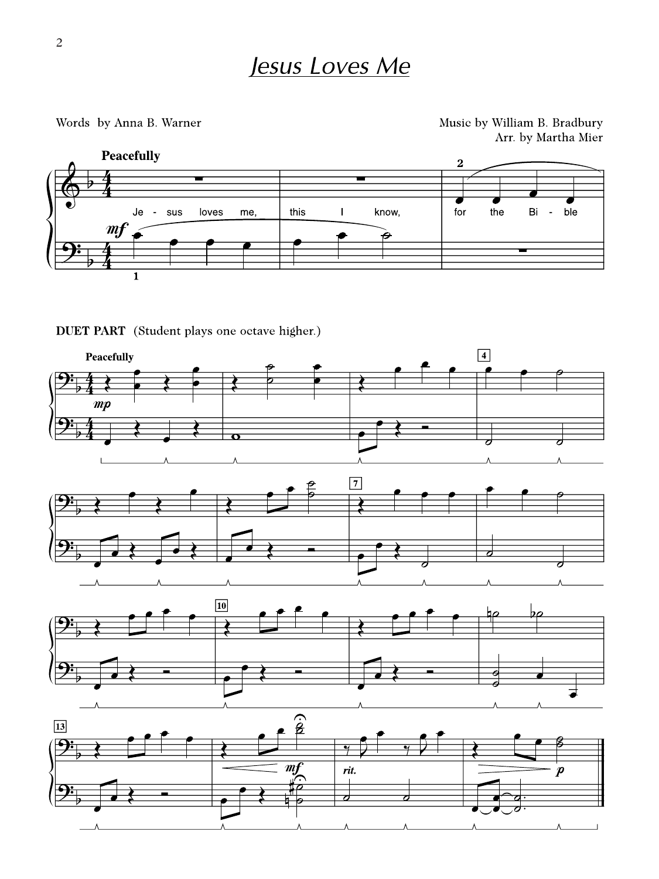Words by Anna B. Warner

Music by William B. Bradbury Arr. by Martha Mier



DUET PART (Student plays one octave higher.)

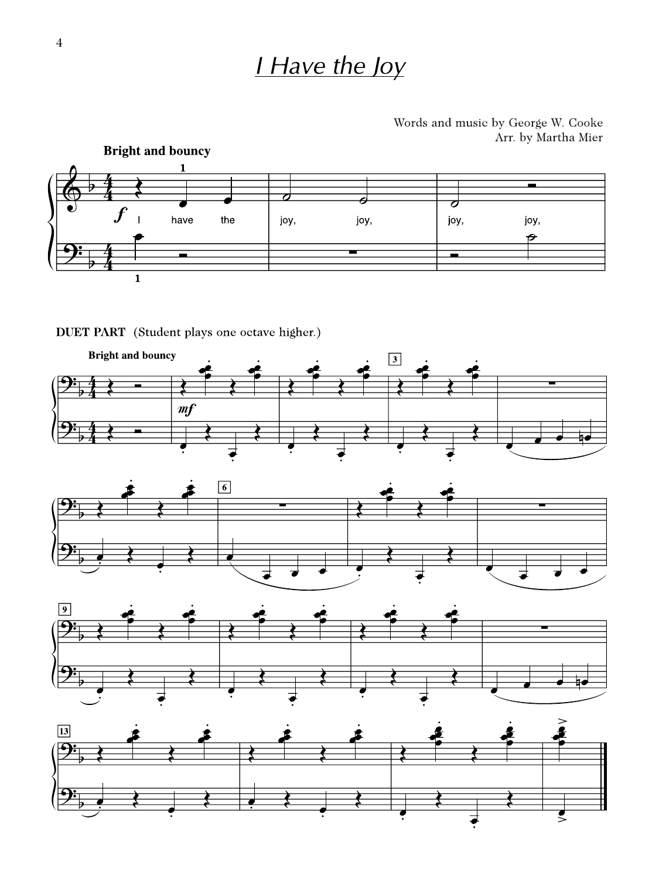## I Have the Joy

Words and music by George W. Cooke Arr. by Martha Mier



DUET PART (Student plays one octave higher.)